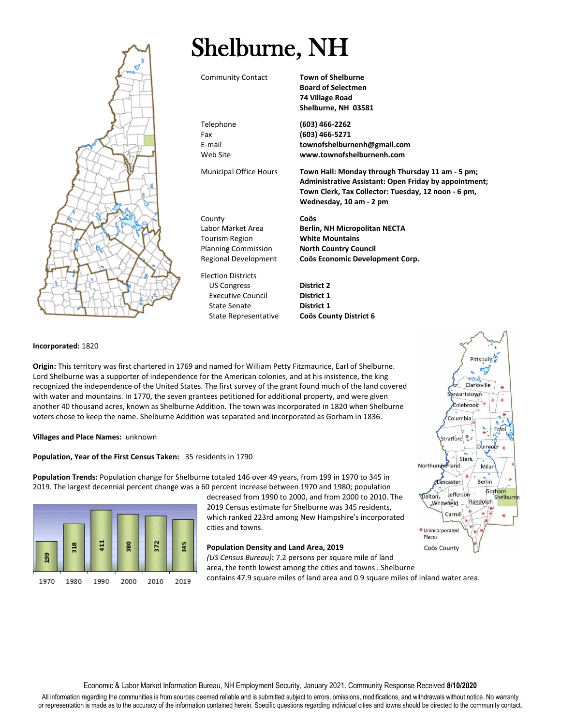

## **Incorporated:** 1820

**Origin:** This territory was first chartered in 1769 and named for William Petty Fitzmaurice, Earl of Shelburne. Lord Shelburne was a supporter of independence for the American colonies, and at his insistence, the king recognized the independence of the United States. The first survey of the grant found much of the land covered with water and mountains. In 1770, the seven grantees petitioned for additional property, and were given another 40 thousand acres, known as Shelburne Addition. The town was incorporated in 1820 when Shelburne voters chose to keep the name. Shelburne Addition was separated and incorporated as Gorham in 1836.

**Villages and Place Names:** unknown

## **Population, Year of the First Census Taken:** 35 residents in 1790

**Population Trends:** Population change for Shelburne totaled 146 over 49 years, from 199 in 1970 to 345 in 2019. The largest decennial percent change was a 60 percent increase between 1970 and 1980; population



decreased from 1990 to 2000, and from 2000 to 2010. The 2019 Census estimate for Shelburne was 345 residents, which ranked 223rd among New Hampshire's incorporated cities and towns.

## **Population Density and Land Area, 2019**

*(US Census Bureau)***:** 7.2 persons per square mile of land area, the tenth lowest among the cities and towns . Shelburne contains 47.9 square miles of land area and 0.9 square miles of inland water area.



All information regarding the communities is from sources deemed reliable and is submitted subject to errors, omissions, modifications, and withdrawals without notice. No warranty or representation is made as to the accuracy of the information contained herein. Specific questions regarding individual cities and towns should be directed to the community contact.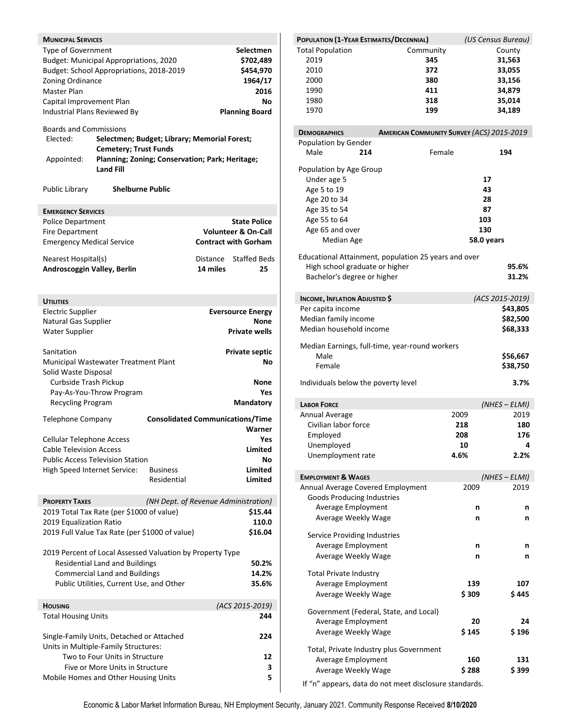| <b>MUNICIPAL SERVICES</b>        |                                                           |                                                 |          |                                |
|----------------------------------|-----------------------------------------------------------|-------------------------------------------------|----------|--------------------------------|
|                                  |                                                           |                                                 |          | <b>Selectmen</b>               |
| Type of Government               |                                                           |                                                 |          |                                |
|                                  | Budget: Municipal Appropriations, 2020                    |                                                 |          | \$702,489                      |
|                                  | Budget: School Appropriations, 2018-2019                  |                                                 |          | \$454,970                      |
| Zoning Ordinance                 |                                                           |                                                 |          | 1964/17                        |
| Master Plan                      |                                                           |                                                 |          | 2016                           |
| Capital Improvement Plan         |                                                           |                                                 |          | Νo                             |
| Industrial Plans Reviewed By     |                                                           |                                                 |          | <b>Planning Board</b>          |
|                                  |                                                           |                                                 |          |                                |
| <b>Boards and Commissions</b>    |                                                           |                                                 |          |                                |
| Elected:                         |                                                           | Selectmen; Budget; Library; Memorial Forest;    |          |                                |
|                                  | <b>Cemetery; Trust Funds</b>                              |                                                 |          |                                |
| Appointed:                       |                                                           | Planning; Zoning; Conservation; Park; Heritage; |          |                                |
|                                  | <b>Land Fill</b>                                          |                                                 |          |                                |
| Public Library                   | <b>Shelburne Public</b>                                   |                                                 |          |                                |
| <b>EMERGENCY SERVICES</b>        |                                                           |                                                 |          |                                |
| <b>Police Department</b>         |                                                           |                                                 |          | <b>State Police</b>            |
| <b>Fire Department</b>           |                                                           |                                                 |          | <b>Volunteer &amp; On-Call</b> |
|                                  |                                                           |                                                 |          |                                |
| <b>Emergency Medical Service</b> |                                                           |                                                 |          | <b>Contract with Gorham</b>    |
|                                  |                                                           |                                                 |          |                                |
| Nearest Hospital(s)              |                                                           |                                                 | Distance | <b>Staffed Beds</b>            |
| Androscoggin Valley, Berlin      |                                                           |                                                 | 14 miles | 25                             |
|                                  |                                                           |                                                 |          |                                |
|                                  |                                                           |                                                 |          |                                |
| <b>UTILITIES</b>                 |                                                           |                                                 |          |                                |
| <b>Electric Supplier</b>         |                                                           |                                                 |          | <b>Eversource Energy</b>       |
| Natural Gas Supplier             |                                                           |                                                 |          | None                           |
| <b>Water Supplier</b>            |                                                           |                                                 |          | <b>Private wells</b>           |
|                                  |                                                           |                                                 |          |                                |
| Sanitation                       |                                                           |                                                 |          | <b>Private septic</b>          |
|                                  |                                                           |                                                 |          | Νo                             |
|                                  | Municipal Wastewater Treatment Plant                      |                                                 |          |                                |
| Solid Waste Disposal             |                                                           |                                                 |          |                                |
| Curbside Trash Pickup            |                                                           |                                                 |          | None                           |
|                                  | Pay-As-You-Throw Program                                  |                                                 |          | Yes                            |
| Recycling Program                |                                                           |                                                 |          | <b>Mandatory</b>               |
|                                  |                                                           |                                                 |          |                                |
| <b>Telephone Company</b>         |                                                           | <b>Consolidated Communications/Time</b>         |          |                                |
|                                  |                                                           |                                                 |          | Warner                         |
| <b>Cellular Telephone Access</b> |                                                           |                                                 |          | Yes                            |
| <b>Cable Television Access</b>   |                                                           |                                                 |          | Limited                        |
|                                  | <b>Public Access Television Station</b>                   |                                                 |          | Νo                             |
| High Speed Internet Service:     |                                                           | <b>Business</b>                                 |          | Limited                        |
|                                  |                                                           | Residential                                     |          | Limited                        |
|                                  |                                                           |                                                 |          |                                |
| <b>PROPERTY TAXES</b>            |                                                           | (NH Dept. of Revenue Administration)            |          |                                |
|                                  |                                                           |                                                 |          |                                |
|                                  | 2019 Total Tax Rate (per \$1000 of value)                 |                                                 |          | \$15.44                        |
| 2019 Equalization Ratio          |                                                           |                                                 |          | 110.0                          |
|                                  | 2019 Full Value Tax Rate (per \$1000 of value)            |                                                 |          | \$16.04                        |
|                                  |                                                           |                                                 |          |                                |
|                                  | 2019 Percent of Local Assessed Valuation by Property Type |                                                 |          |                                |
|                                  | <b>Residential Land and Buildings</b>                     |                                                 |          | 50.2%                          |
|                                  | <b>Commercial Land and Buildings</b>                      |                                                 |          | 14.2%                          |
|                                  | Public Utilities, Current Use, and Other                  |                                                 |          | 35.6%                          |
|                                  |                                                           |                                                 |          |                                |
| <b>HOUSING</b>                   |                                                           |                                                 |          | (ACS 2015-2019)                |
|                                  |                                                           |                                                 |          | 244                            |
| <b>Total Housing Units</b>       |                                                           |                                                 |          |                                |
|                                  |                                                           |                                                 |          |                                |
|                                  | Single-Family Units, Detached or Attached                 |                                                 |          | 224                            |
|                                  | Units in Multiple-Family Structures:                      |                                                 |          |                                |
|                                  | Two to Four Units in Structure                            |                                                 |          | 12                             |
|                                  | Five or More Units in Structure                           |                                                 |          | З                              |
|                                  | Mobile Homes and Other Housing Units                      |                                                 |          | 5                              |

| POPULATION (1-YEAR ESTIMATES/DECENNIAL) |                                                      | (US Census Bureau) |  |
|-----------------------------------------|------------------------------------------------------|--------------------|--|
| <b>Total Population</b>                 | Community                                            | County             |  |
| 2019                                    | 345                                                  | 31,563             |  |
| 2010                                    | 372                                                  | 33,055             |  |
| 2000                                    | 380                                                  | 33,156             |  |
| 1990                                    | 411                                                  | 34,879             |  |
| 1980                                    | 318                                                  | 35,014             |  |
| 1970                                    | 199                                                  | 34,189             |  |
| <b>DEMOGRAPHICS</b>                     | <b>AMERICAN COMMUNITY SURVEY (ACS) 2015-2019</b>     |                    |  |
| Population by Gender                    |                                                      |                    |  |
| Male<br>214                             | Female                                               | 194                |  |
| Population by Age Group                 |                                                      |                    |  |
| Under age 5                             |                                                      | 17                 |  |
| Age 5 to 19                             |                                                      | 43                 |  |
| Age 20 to 34<br>Age 35 to 54            |                                                      | 28                 |  |
|                                         |                                                      | 87<br>103          |  |
| Age 55 to 64                            |                                                      | 130                |  |
| Age 65 and over<br>Median Age           |                                                      | 58.0 years         |  |
|                                         |                                                      |                    |  |
| High school graduate or higher          | Educational Attainment, population 25 years and over | 95.6%              |  |
| Bachelor's degree or higher             |                                                      | 31.2%              |  |
|                                         |                                                      |                    |  |
| <b>INCOME, INFLATION ADJUSTED \$</b>    |                                                      | (ACS 2015-2019)    |  |
| Per capita income                       |                                                      | \$43,805           |  |
| Median family income                    |                                                      | \$82,500           |  |
| Median household income                 |                                                      | \$68,333           |  |
|                                         | Median Earnings, full-time, year-round workers       |                    |  |
| Male                                    |                                                      | \$56,667           |  |
| Female                                  |                                                      | \$38,750           |  |
| Individuals below the poverty level     |                                                      | 3.7%               |  |
| <b>LABOR FORCE</b>                      |                                                      | $(NHES - ELMI)$    |  |
| Annual Average                          | 2009                                                 | 2019               |  |
| Civilian labor force                    | 218                                                  | 180                |  |
| Employed                                | 208                                                  | 176                |  |
| Unemployed                              | 10                                                   | Δ                  |  |
| Unemployment rate                       | 4.6%                                                 | 2.2%               |  |
| <b>EMPLOYMENT &amp; WAGES</b>           |                                                      | $(NHES - ELMI)$    |  |
| Annual Average Covered Employment       | 2009                                                 | 2019               |  |
| <b>Goods Producing Industries</b>       |                                                      |                    |  |
| Average Employment                      | n                                                    | n                  |  |
| Average Weekly Wage                     | n                                                    | n                  |  |
| Service Providing Industries            |                                                      |                    |  |
| Average Employment                      | n                                                    | n                  |  |
| Average Weekly Wage                     | n                                                    | n                  |  |
|                                         |                                                      |                    |  |
| <b>Total Private Industry</b>           |                                                      |                    |  |
| Average Employment                      | 139                                                  | 107                |  |
| Average Weekly Wage                     | \$309                                                | \$445              |  |
| Government (Federal, State, and Local)  |                                                      |                    |  |
| Average Employment                      | 20                                                   | 24                 |  |
|                                         |                                                      |                    |  |
| Average Weekly Wage                     | \$145                                                | \$196              |  |
| Total, Private Industry plus Government |                                                      |                    |  |
| Average Employment                      | 160                                                  | 131                |  |
| Average Weekly Wage                     | \$288                                                | \$ 399             |  |